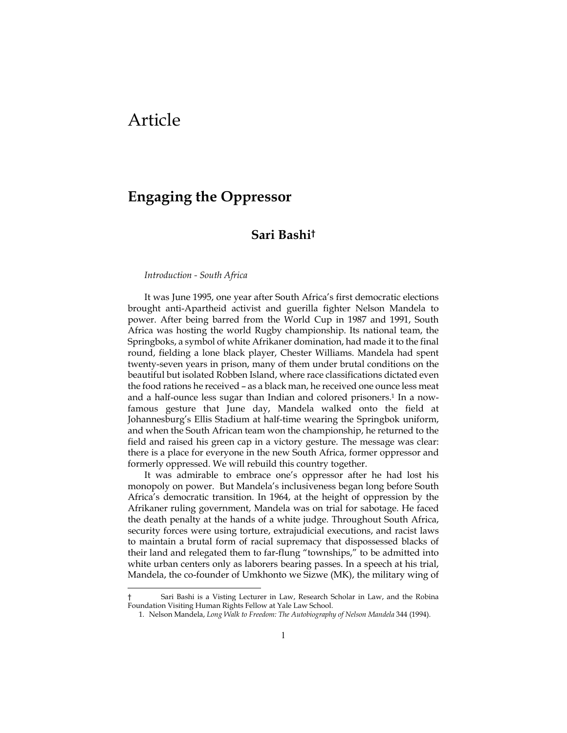# Article

1

## **Engaging the Oppressor**

### **Sari Bashi†**

#### *Introduction - South Africa*

It was June 1995, one year after South Africa's first democratic elections brought anti-Apartheid activist and guerilla fighter Nelson Mandela to power. After being barred from the World Cup in 1987 and 1991, South Africa was hosting the world Rugby championship. Its national team, the Springboks, a symbol of white Afrikaner domination, had made it to the final round, fielding a lone black player, Chester Williams. Mandela had spent twenty-seven years in prison, many of them under brutal conditions on the beautiful but isolated Robben Island, where race classifications dictated even the food rations he received – as a black man, he received one ounce less meat and a half-ounce less sugar than Indian and colored prisoners.<sup>1</sup> In a nowfamous gesture that June day, Mandela walked onto the field at Johannesburg's Ellis Stadium at half-time wearing the Springbok uniform, and when the South African team won the championship, he returned to the field and raised his green cap in a victory gesture. The message was clear: there is a place for everyone in the new South Africa, former oppressor and formerly oppressed. We will rebuild this country together.

It was admirable to embrace one's oppressor after he had lost his monopoly on power. But Mandela's inclusiveness began long before South Africa's democratic transition. In 1964, at the height of oppression by the Afrikaner ruling government, Mandela was on trial for sabotage. He faced the death penalty at the hands of a white judge. Throughout South Africa, security forces were using torture, extrajudicial executions, and racist laws to maintain a brutal form of racial supremacy that dispossessed blacks of their land and relegated them to far-flung "townships," to be admitted into white urban centers only as laborers bearing passes. In a speech at his trial, Mandela, the co-founder of Umkhonto we Sizwe (MK), the military wing of

Sari Bashi is a Visting Lecturer in Law, Research Scholar in Law, and the Robina Foundation Visiting Human Rights Fellow at Yale Law School.

<sup>1.</sup> Nelson Mandela, *Long Walk to Freedom: The Autobiography of Nelson Mandela* 344 (1994).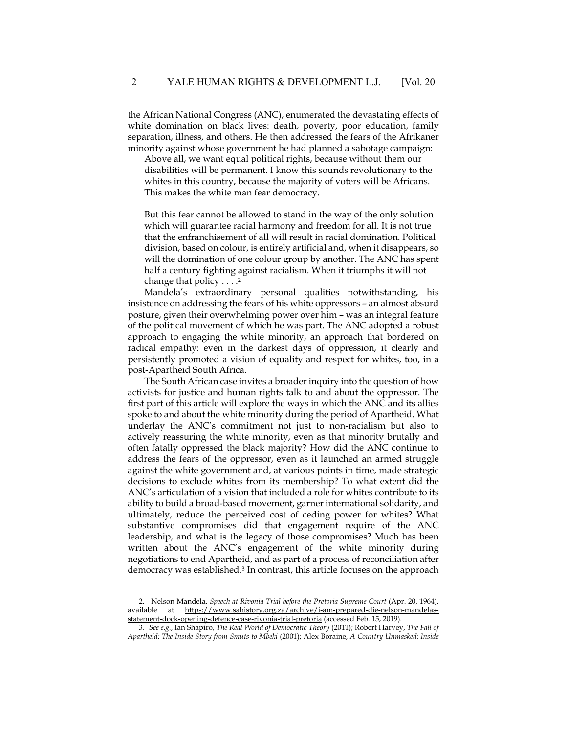the African National Congress (ANC), enumerated the devastating effects of white domination on black lives: death, poverty, poor education, family separation, illness, and others. He then addressed the fears of the Afrikaner minority against whose government he had planned a sabotage campaign:

Above all, we want equal political rights, because without them our disabilities will be permanent. I know this sounds revolutionary to the whites in this country, because the majority of voters will be Africans. This makes the white man fear democracy.

But this fear cannot be allowed to stand in the way of the only solution which will guarantee racial harmony and freedom for all. It is not true that the enfranchisement of all will result in racial domination. Political division, based on colour, is entirely artificial and, when it disappears, so will the domination of one colour group by another. The ANC has spent half a century fighting against racialism. When it triumphs it will not change that policy  $\dots$ .<sup>2</sup>

Mandela's extraordinary personal qualities notwithstanding, his insistence on addressing the fears of his white oppressors – an almost absurd posture, given their overwhelming power over him – was an integral feature of the political movement of which he was part. The ANC adopted a robust approach to engaging the white minority, an approach that bordered on radical empathy: even in the darkest days of oppression, it clearly and persistently promoted a vision of equality and respect for whites, too, in a post-Apartheid South Africa.

The South African case invites a broader inquiry into the question of how activists for justice and human rights talk to and about the oppressor. The first part of this article will explore the ways in which the ANC and its allies spoke to and about the white minority during the period of Apartheid. What underlay the ANC's commitment not just to non-racialism but also to actively reassuring the white minority, even as that minority brutally and often fatally oppressed the black majority? How did the ANC continue to address the fears of the oppressor, even as it launched an armed struggle against the white government and, at various points in time, made strategic decisions to exclude whites from its membership? To what extent did the ANC's articulation of a vision that included a role for whites contribute to its ability to build a broad-based movement, garner international solidarity, and ultimately, reduce the perceived cost of ceding power for whites? What substantive compromises did that engagement require of the ANC leadership, and what is the legacy of those compromises? Much has been written about the ANC's engagement of the white minority during negotiations to end Apartheid, and as part of a process of reconciliation after democracy was established.3 In contrast, this article focuses on the approach

1

<sup>2.</sup> Nelson Mandela, *Speech at Rivonia Trial before the Pretoria Supreme Court* (Apr. 20, 1964), available at https://www.sahistory.org.za/archive/i-am-prepared-die-nelson-mandelasstatement-dock-opening-defence-case-rivonia-trial-pretoria (accessed Feb. 15, 2019).

<sup>3</sup>*. See e.g.*, Ian Shapiro, *The Real World of Democratic Theory* (2011); Robert Harvey, *The Fall of Apartheid: The Inside Story from Smuts to Mbeki* (2001); Alex Boraine, *A Country Unmasked: Inside*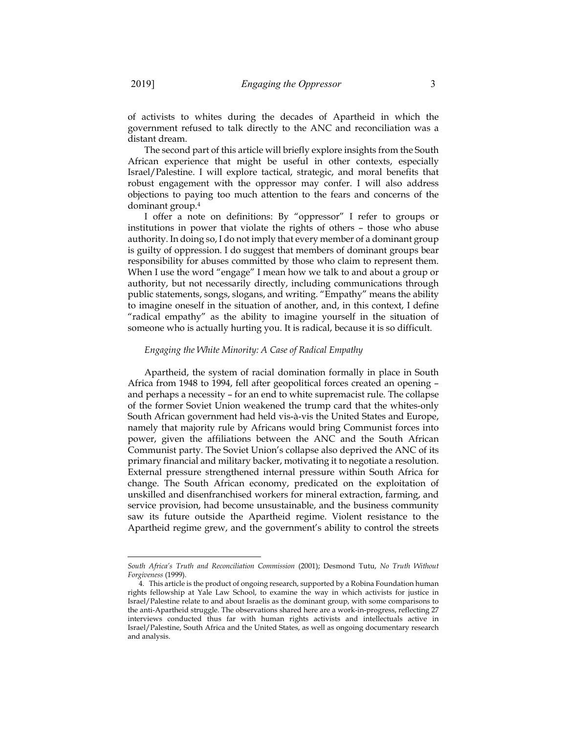of activists to whites during the decades of Apartheid in which the government refused to talk directly to the ANC and reconciliation was a distant dream.

The second part of this article will briefly explore insights from the South African experience that might be useful in other contexts, especially Israel/Palestine. I will explore tactical, strategic, and moral benefits that robust engagement with the oppressor may confer. I will also address objections to paying too much attention to the fears and concerns of the dominant group.4

I offer a note on definitions: By "oppressor" I refer to groups or institutions in power that violate the rights of others – those who abuse authority. In doing so, I do not imply that every member of a dominant group is guilty of oppression. I do suggest that members of dominant groups bear responsibility for abuses committed by those who claim to represent them. When I use the word "engage" I mean how we talk to and about a group or authority, but not necessarily directly, including communications through public statements, songs, slogans, and writing. "Empathy" means the ability to imagine oneself in the situation of another, and, in this context, I define "radical empathy" as the ability to imagine yourself in the situation of someone who is actually hurting you. It is radical, because it is so difficult.

#### *Engaging the White Minority: A Case of Radical Empathy*

Apartheid, the system of racial domination formally in place in South Africa from 1948 to 1994, fell after geopolitical forces created an opening – and perhaps a necessity – for an end to white supremacist rule. The collapse of the former Soviet Union weakened the trump card that the whites-only South African government had held vis-à-vis the United States and Europe, namely that majority rule by Africans would bring Communist forces into power, given the affiliations between the ANC and the South African Communist party. The Soviet Union's collapse also deprived the ANC of its primary financial and military backer, motivating it to negotiate a resolution. External pressure strengthened internal pressure within South Africa for change. The South African economy, predicated on the exploitation of unskilled and disenfranchised workers for mineral extraction, farming, and service provision, had become unsustainable, and the business community saw its future outside the Apartheid regime. Violent resistance to the Apartheid regime grew, and the government's ability to control the streets

 $\overline{\phantom{a}}$ 

*South Africa's Truth and Reconciliation Commission* (2001); Desmond Tutu, *No Truth Without Forgiveness* (1999).

<sup>4.</sup> This article is the product of ongoing research, supported by a Robina Foundation human rights fellowship at Yale Law School, to examine the way in which activists for justice in Israel/Palestine relate to and about Israelis as the dominant group, with some comparisons to the anti-Apartheid struggle. The observations shared here are a work-in-progress, reflecting 27 interviews conducted thus far with human rights activists and intellectuals active in Israel/Palestine, South Africa and the United States, as well as ongoing documentary research and analysis.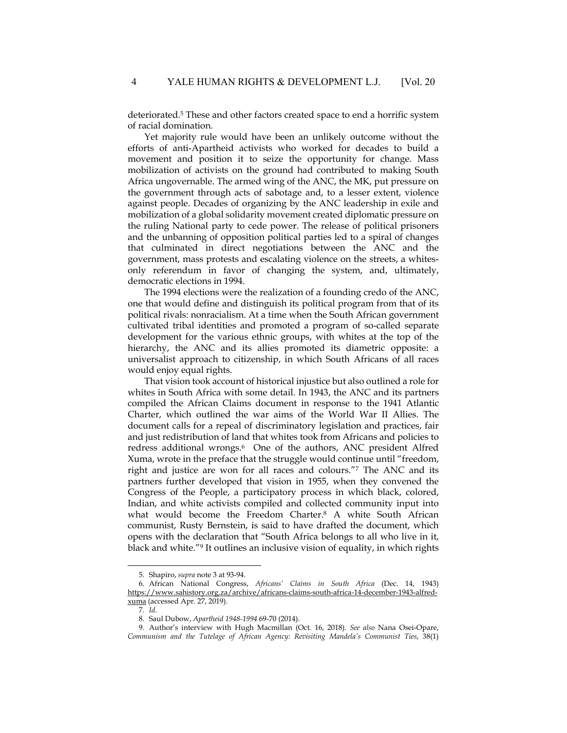deteriorated.<sup>5</sup> These and other factors created space to end a horrific system of racial domination.

Yet majority rule would have been an unlikely outcome without the efforts of anti-Apartheid activists who worked for decades to build a movement and position it to seize the opportunity for change. Mass mobilization of activists on the ground had contributed to making South Africa ungovernable. The armed wing of the ANC, the MK, put pressure on the government through acts of sabotage and, to a lesser extent, violence against people. Decades of organizing by the ANC leadership in exile and mobilization of a global solidarity movement created diplomatic pressure on the ruling National party to cede power. The release of political prisoners and the unbanning of opposition political parties led to a spiral of changes that culminated in direct negotiations between the ANC and the government, mass protests and escalating violence on the streets, a whitesonly referendum in favor of changing the system, and, ultimately, democratic elections in 1994.

The 1994 elections were the realization of a founding credo of the ANC, one that would define and distinguish its political program from that of its political rivals: nonracialism. At a time when the South African government cultivated tribal identities and promoted a program of so-called separate development for the various ethnic groups, with whites at the top of the hierarchy, the ANC and its allies promoted its diametric opposite: a universalist approach to citizenship, in which South Africans of all races would enjoy equal rights.

That vision took account of historical injustice but also outlined a role for whites in South Africa with some detail. In 1943, the ANC and its partners compiled the African Claims document in response to the 1941 Atlantic Charter, which outlined the war aims of the World War II Allies. The document calls for a repeal of discriminatory legislation and practices, fair and just redistribution of land that whites took from Africans and policies to redress additional wrongs.<sup>6</sup> One of the authors, ANC president Alfred Xuma, wrote in the preface that the struggle would continue until "freedom, right and justice are won for all races and colours."7 The ANC and its partners further developed that vision in 1955, when they convened the Congress of the People, a participatory process in which black, colored, Indian, and white activists compiled and collected community input into what would become the Freedom Charter.8 A white South African communist, Rusty Bernstein, is said to have drafted the document, which opens with the declaration that "South Africa belongs to all who live in it, black and white."9 It outlines an inclusive vision of equality, in which rights

 $\overline{a}$ 

<sup>5.</sup> Shapiro, *supra* note 3 at 93-94.

<sup>6.</sup> African National Congress, *Africans' Claims in South Africa* (Dec. 14, 1943) https://www.sahistory.org.za/archive/africans-claims-south-africa-14-december-1943-alfredxuma (accessed Apr. 27, 2019).

<sup>7</sup>*. Id*.

<sup>8.</sup> Saul Dubow, *Apartheid 1948-1994* 69-70 (2014).

<sup>9.</sup> Author's interview with Hugh Macmillan (Oct. 16, 2018). *See also* Nana Osei-Opare, *Communism and the Tutelage of African Agency: Revisiting Mandela's Communist Ties*, 38(1)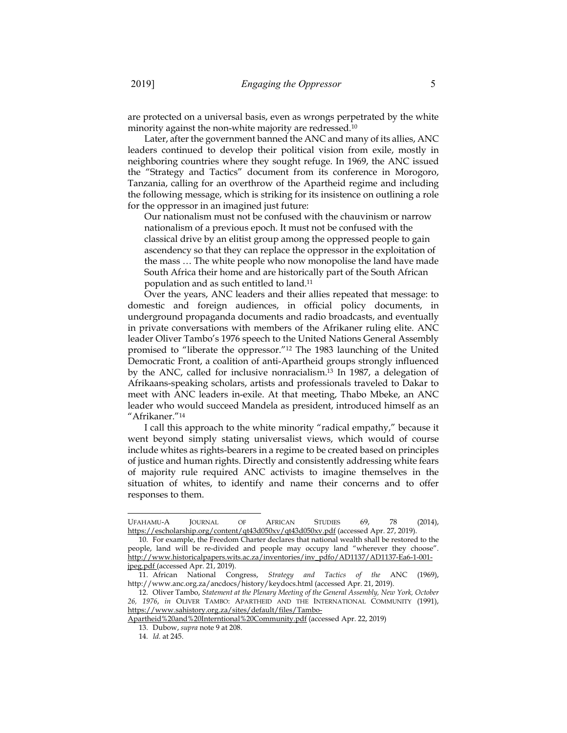are protected on a universal basis, even as wrongs perpetrated by the white minority against the non-white majority are redressed.10

Later, after the government banned the ANC and many of its allies, ANC leaders continued to develop their political vision from exile, mostly in neighboring countries where they sought refuge. In 1969, the ANC issued the "Strategy and Tactics" document from its conference in Morogoro, Tanzania, calling for an overthrow of the Apartheid regime and including the following message, which is striking for its insistence on outlining a role for the oppressor in an imagined just future:

Our nationalism must not be confused with the chauvinism or narrow nationalism of a previous epoch. It must not be confused with the classical drive by an elitist group among the oppressed people to gain ascendency so that they can replace the oppressor in the exploitation of the mass … The white people who now monopolise the land have made South Africa their home and are historically part of the South African population and as such entitled to land.11

Over the years, ANC leaders and their allies repeated that message: to domestic and foreign audiences, in official policy documents, in underground propaganda documents and radio broadcasts, and eventually in private conversations with members of the Afrikaner ruling elite. ANC leader Oliver Tambo's 1976 speech to the United Nations General Assembly promised to "liberate the oppressor."12 The 1983 launching of the United Democratic Front, a coalition of anti-Apartheid groups strongly influenced by the ANC, called for inclusive nonracialism.13 In 1987, a delegation of Afrikaans-speaking scholars, artists and professionals traveled to Dakar to meet with ANC leaders in-exile. At that meeting, Thabo Mbeke, an ANC leader who would succeed Mandela as president, introduced himself as an "Afrikaner."14

I call this approach to the white minority "radical empathy," because it went beyond simply stating universalist views, which would of course include whites as rights-bearers in a regime to be created based on principles of justice and human rights. Directly and consistently addressing white fears of majority rule required ANC activists to imagine themselves in the situation of whites, to identify and name their concerns and to offer responses to them.

 $\overline{a}$ 

UFAHAMU-A JOURNAL OF AFRICAN STUDIES 69, 78 (2014), https://escholarship.org/content/qt43d050xv/qt43d050xv.pdf (accessed Apr. 27, 2019).

<sup>10.</sup> For example, the Freedom Charter declares that national wealth shall be restored to the people, land will be re-divided and people may occupy land "wherever they choose". http://www.historicalpapers.wits.ac.za/inventories/inv\_pdfo/AD1137/AD1137-Ea6-1-001 jpeg.pdf (accessed Apr. 21, 2019).

<sup>11.</sup> African National Congress, *Strategy and Tactics of the* ANC (1969), http://www.anc.org.za/ancdocs/history/keydocs.html (accessed Apr. 21, 2019).

<sup>12.</sup> Oliver Tambo, *Statement at the Plenary Meeting of the General Assembly, New York, October 26, 1976*, *in* OLIVER TAMBO: APARTHEID AND THE INTERNATIONAL COMMUNITY (1991), https://www.sahistory.org.za/sites/default/files/Tambo-

Apartheid%20and%20Interntional%20Community.pdf (accessed Apr. 22, 2019)

<sup>13.</sup> Dubow, *supra* note 9 at 208.

<sup>14</sup>*. Id.* at 245.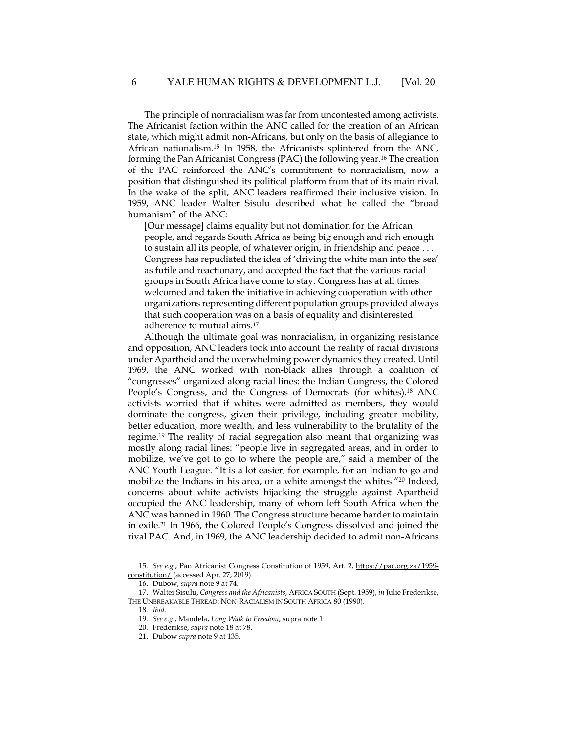The principle of nonracialism was far from uncontested among activists. The Africanist faction within the ANC called for the creation of an African state, which might admit non-Africans, but only on the basis of allegiance to African nationalism.15 In 1958, the Africanists splintered from the ANC, forming the Pan Africanist Congress (PAC) the following year.16 The creation of the PAC reinforced the ANC's commitment to nonracialism, now a position that distinguished its political platform from that of its main rival. In the wake of the split, ANC leaders reaffirmed their inclusive vision. In 1959, ANC leader Walter Sisulu described what he called the "broad humanism" of the ANC:

[Our message] claims equality but not domination for the African people, and regards South Africa as being big enough and rich enough to sustain all its people, of whatever origin, in friendship and peace . . . Congress has repudiated the idea of 'driving the white man into the sea' as futile and reactionary, and accepted the fact that the various racial groups in South Africa have come to stay. Congress has at all times welcomed and taken the initiative in achieving cooperation with other organizations representing different population groups provided always that such cooperation was on a basis of equality and disinterested adherence to mutual aims.17

Although the ultimate goal was nonracialism, in organizing resistance and opposition, ANC leaders took into account the reality of racial divisions under Apartheid and the overwhelming power dynamics they created. Until 1969, the ANC worked with non-black allies through a coalition of "congresses" organized along racial lines: the Indian Congress, the Colored People's Congress, and the Congress of Democrats (for whites).<sup>18</sup> ANC activists worried that if whites were admitted as members, they would dominate the congress, given their privilege, including greater mobility, better education, more wealth, and less vulnerability to the brutality of the regime.19 The reality of racial segregation also meant that organizing was mostly along racial lines: "people live in segregated areas, and in order to mobilize, we've got to go to where the people are," said a member of the ANC Youth League. "It is a lot easier, for example, for an Indian to go and mobilize the Indians in his area, or a white amongst the whites.<sup>"20</sup> Indeed, concerns about white activists hijacking the struggle against Apartheid occupied the ANC leadership, many of whom left South Africa when the ANC was banned in 1960. The Congress structure became harder to maintain in exile.21 In 1966, the Colored People's Congress dissolved and joined the rival PAC. And, in 1969, the ANC leadership decided to admit non-Africans

-

<sup>15</sup>*. See e.g.*, Pan Africanist Congress Constitution of 1959, Art. 2, https://pac.org.za/1959 constitution/ (accessed Apr. 27, 2019).

<sup>16.</sup> Dubow, *supra* note 9 at 74.

<sup>17.</sup> Walter Sisulu, *Congress and the Africanists*, AFRICA SOUTH (Sept. 1959), *in* Julie Frederikse, THE UNBREAKABLE THREAD: NON-RACIALISM IN SOUTH AFRICA 80 (1990).

<sup>18</sup>*. Ibid*.

<sup>19</sup>*. See e.g.*, Mandela, *Long Walk to Freedom*, supra note 1.

<sup>20.</sup> Frederikse, *supra* note 18 at 78.

<sup>21.</sup> Dubow *supra* note 9 at 135.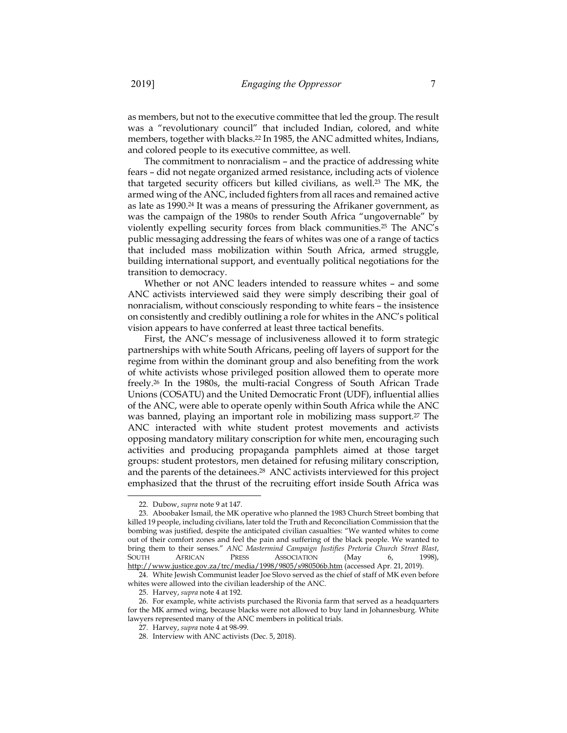as members, but not to the executive committee that led the group. The result was a "revolutionary council" that included Indian, colored, and white members, together with blacks.22 In 1985, the ANC admitted whites, Indians, and colored people to its executive committee, as well.

The commitment to nonracialism – and the practice of addressing white fears – did not negate organized armed resistance, including acts of violence that targeted security officers but killed civilians, as well.<sup>23</sup> The MK, the armed wing of the ANC, included fighters from all races and remained active as late as 1990.24 It was a means of pressuring the Afrikaner government, as was the campaign of the 1980s to render South Africa "ungovernable" by violently expelling security forces from black communities.25 The ANC's public messaging addressing the fears of whites was one of a range of tactics that included mass mobilization within South Africa, armed struggle, building international support, and eventually political negotiations for the transition to democracy.

Whether or not ANC leaders intended to reassure whites – and some ANC activists interviewed said they were simply describing their goal of nonracialism, without consciously responding to white fears – the insistence on consistently and credibly outlining a role for whites in the ANC's political vision appears to have conferred at least three tactical benefits.

First, the ANC's message of inclusiveness allowed it to form strategic partnerships with white South Africans, peeling off layers of support for the regime from within the dominant group and also benefiting from the work of white activists whose privileged position allowed them to operate more freely.26 In the 1980s, the multi-racial Congress of South African Trade Unions (COSATU) and the United Democratic Front (UDF), influential allies of the ANC, were able to operate openly within South Africa while the ANC was banned, playing an important role in mobilizing mass support.<sup>27</sup> The ANC interacted with white student protest movements and activists opposing mandatory military conscription for white men, encouraging such activities and producing propaganda pamphlets aimed at those target groups: student protestors, men detained for refusing military conscription, and the parents of the detainees.28 ANC activists interviewed for this project emphasized that the thrust of the recruiting effort inside South Africa was

 $\overline{\phantom{a}}$ 

<sup>22.</sup> Dubow, *supra* note 9 at 147.

<sup>23.</sup> Aboobaker Ismail, the MK operative who planned the 1983 Church Street bombing that killed 19 people, including civilians, later told the Truth and Reconciliation Commission that the bombing was justified, despite the anticipated civilian casualties: "We wanted whites to come out of their comfort zones and feel the pain and suffering of the black people. We wanted to bring them to their senses." *ANC Mastermind Campaign Justifies Pretoria Church Street Blast*, SOUTH AFRICAN PRESS ASSOCIATION (May 6, 1998), http://www.justice.gov.za/trc/media/1998/9805/s980506b.htm (accessed Apr. 21, 2019).

<sup>24.</sup> White Jewish Communist leader Joe Slovo served as the chief of staff of MK even before whites were allowed into the civilian leadership of the ANC.

<sup>25.</sup> Harvey, *supra* note 4 at 192.

<sup>26.</sup> For example, white activists purchased the Rivonia farm that served as a headquarters for the MK armed wing, because blacks were not allowed to buy land in Johannesburg. White lawyers represented many of the ANC members in political trials.

<sup>27.</sup> Harvey, *supra* note 4 at 98-99.

<sup>28.</sup> Interview with ANC activists (Dec. 5, 2018).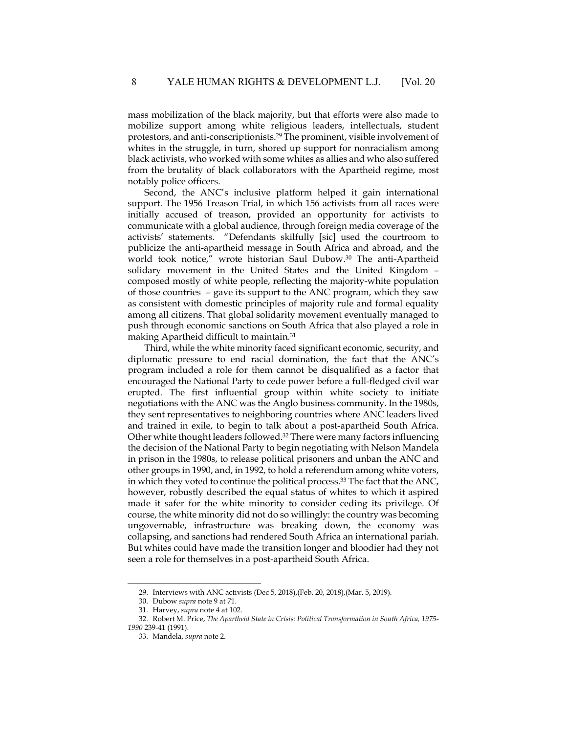mass mobilization of the black majority, but that efforts were also made to mobilize support among white religious leaders, intellectuals, student protestors, and anti-conscriptionists.29 The prominent, visible involvement of whites in the struggle, in turn, shored up support for nonracialism among black activists, who worked with some whites as allies and who also suffered from the brutality of black collaborators with the Apartheid regime, most notably police officers.

Second, the ANC's inclusive platform helped it gain international support. The 1956 Treason Trial, in which 156 activists from all races were initially accused of treason, provided an opportunity for activists to communicate with a global audience, through foreign media coverage of the activists' statements. "Defendants skilfully [sic] used the courtroom to publicize the anti-apartheid message in South Africa and abroad, and the world took notice," wrote historian Saul Dubow.30 The anti-Apartheid solidary movement in the United States and the United Kingdom – composed mostly of white people, reflecting the majority-white population of those countries – gave its support to the ANC program, which they saw as consistent with domestic principles of majority rule and formal equality among all citizens. That global solidarity movement eventually managed to push through economic sanctions on South Africa that also played a role in making Apartheid difficult to maintain.31

Third, while the white minority faced significant economic, security, and diplomatic pressure to end racial domination, the fact that the ANC's program included a role for them cannot be disqualified as a factor that encouraged the National Party to cede power before a full-fledged civil war erupted. The first influential group within white society to initiate negotiations with the ANC was the Anglo business community. In the 1980s, they sent representatives to neighboring countries where ANC leaders lived and trained in exile, to begin to talk about a post-apartheid South Africa. Other white thought leaders followed.32 There were many factors influencing the decision of the National Party to begin negotiating with Nelson Mandela in prison in the 1980s, to release political prisoners and unban the ANC and other groups in 1990, and, in 1992, to hold a referendum among white voters, in which they voted to continue the political process.33 The fact that the ANC, however, robustly described the equal status of whites to which it aspired made it safer for the white minority to consider ceding its privilege. Of course, the white minority did not do so willingly: the country was becoming ungovernable, infrastructure was breaking down, the economy was collapsing, and sanctions had rendered South Africa an international pariah. But whites could have made the transition longer and bloodier had they not seen a role for themselves in a post-apartheid South Africa.

-

<sup>29.</sup> Interviews with ANC activists (Dec 5, 2018),(Feb. 20, 2018),(Mar. 5, 2019).

<sup>30.</sup> Dubow *supra* note 9 at 71.

<sup>31.</sup> Harvey, *supra* note 4 at 102.

<sup>32.</sup> Robert M. Price, *The Apartheid State in Crisis: Political Transformation in South Africa, 1975-*

*<sup>1990</sup>* 239-41 (1991).

<sup>33.</sup> Mandela, *supra* note 2.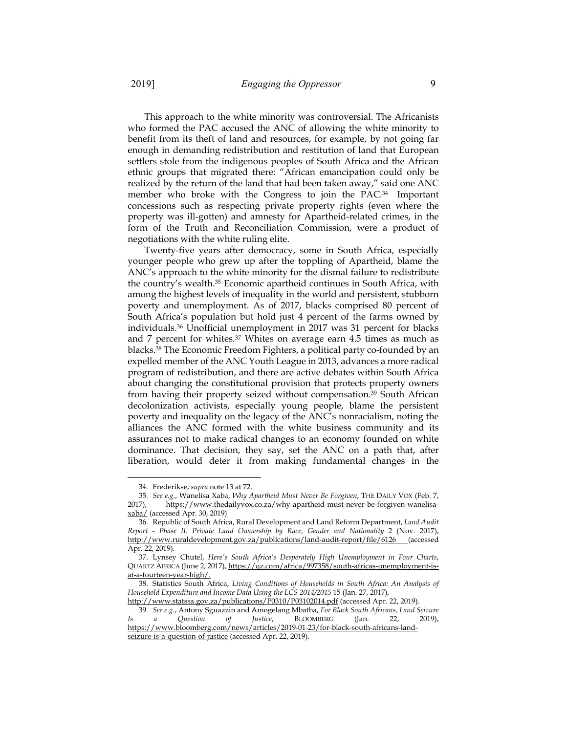This approach to the white minority was controversial. The Africanists who formed the PAC accused the ANC of allowing the white minority to benefit from its theft of land and resources, for example, by not going far enough in demanding redistribution and restitution of land that European settlers stole from the indigenous peoples of South Africa and the African ethnic groups that migrated there: "African emancipation could only be realized by the return of the land that had been taken away," said one ANC member who broke with the Congress to join the PAC.34 Important concessions such as respecting private property rights (even where the property was ill-gotten) and amnesty for Apartheid-related crimes, in the form of the Truth and Reconciliation Commission, were a product of negotiations with the white ruling elite.

Twenty-five years after democracy, some in South Africa, especially younger people who grew up after the toppling of Apartheid, blame the ANC's approach to the white minority for the dismal failure to redistribute the country's wealth.35 Economic apartheid continues in South Africa, with among the highest levels of inequality in the world and persistent, stubborn poverty and unemployment. As of 2017, blacks comprised 80 percent of South Africa's population but hold just 4 percent of the farms owned by individuals.36 Unofficial unemployment in 2017 was 31 percent for blacks and 7 percent for whites.37 Whites on average earn 4.5 times as much as blacks.38 The Economic Freedom Fighters, a political party co-founded by an expelled member of the ANC Youth League in 2013, advances a more radical program of redistribution, and there are active debates within South Africa about changing the constitutional provision that protects property owners from having their property seized without compensation.39 South African decolonization activists, especially young people, blame the persistent poverty and inequality on the legacy of the ANC's nonracialism, noting the alliances the ANC formed with the white business community and its assurances not to make radical changes to an economy founded on white dominance. That decision, they say, set the ANC on a path that, after liberation, would deter it from making fundamental changes in the

-

<sup>34.</sup> Frederikse, *supra* note 13 at 72.

<sup>35</sup>*. See e.g.*, Wanelisa Xaba, *Why Apartheid Must Never Be Forgiven*, THE DAILY VOX (Feb. 7, 2017), https://www.thedailyvox.co.za/why-apartheid-must-never-be-forgiven-wanelisaxaba/ (accessed Apr. 30, 2019)

<sup>36.</sup> Republic of South Africa, Rural Development and Land Reform Department, *Land Audit Report - Phase II: Private Land Ownership by Race, Gender and Nationality* 2 (Nov. 2017), http://www.ruraldevelopment.gov.za/publications/land-audit-report/file/6126 (accessed Apr. 22, 2019).

<sup>37.</sup> Lynsey Chutel, *Here's South Africa's Desperately High Unemployment in Four Charts*, QUARTZ AFRICA (June 2, 2017), https://qz.com/africa/997358/south-africas-unemployment-isat-a-fourteen-year-high/.

<sup>38.</sup> Statistics South Africa, *Living Conditions of Households in South Africa: An Analysis of Household Expenditure and Income Data Using the LCS 2014/2015* 15 (Jan. 27, 2017),

http://www.statssa.gov.za/publications/P0310/P03102014.pdf (accessed Apr. 22, 2019).

<sup>39</sup>*. See e.g.*, Antony Sguazzin and Amogelang Mbatha, *For Black South Africans, Land Seizure Is a Question of Justice*, BLOOMBERG (Jan. 22, 2019), https://www.bloomberg.com/news/articles/2019-01-23/for-black-south-africans-landseizure-is-a-question-of-justice (accessed Apr. 22, 2019).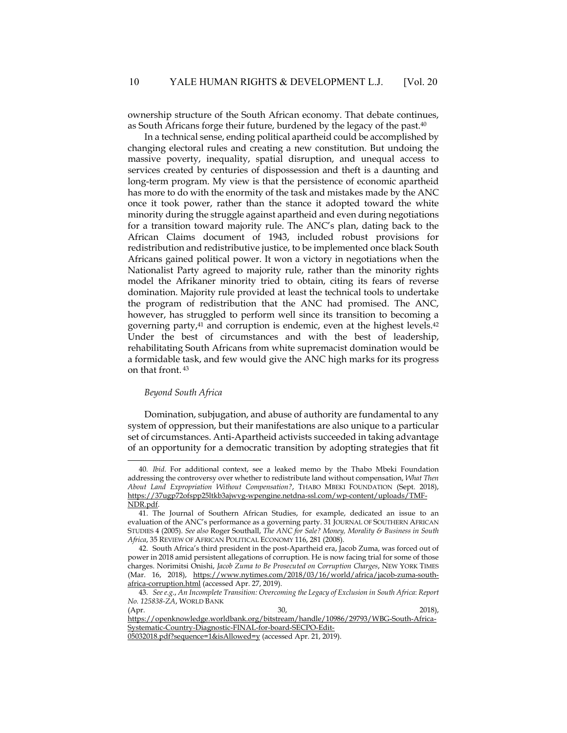ownership structure of the South African economy. That debate continues, as South Africans forge their future, burdened by the legacy of the past.40

In a technical sense, ending political apartheid could be accomplished by changing electoral rules and creating a new constitution. But undoing the massive poverty, inequality, spatial disruption, and unequal access to services created by centuries of dispossession and theft is a daunting and long-term program. My view is that the persistence of economic apartheid has more to do with the enormity of the task and mistakes made by the ANC once it took power, rather than the stance it adopted toward the white minority during the struggle against apartheid and even during negotiations for a transition toward majority rule. The ANC's plan, dating back to the African Claims document of 1943, included robust provisions for redistribution and redistributive justice, to be implemented once black South Africans gained political power. It won a victory in negotiations when the Nationalist Party agreed to majority rule, rather than the minority rights model the Afrikaner minority tried to obtain, citing its fears of reverse domination. Majority rule provided at least the technical tools to undertake the program of redistribution that the ANC had promised. The ANC, however, has struggled to perform well since its transition to becoming a governing party,<sup>41</sup> and corruption is endemic, even at the highest levels.<sup>42</sup> Under the best of circumstances and with the best of leadership, rehabilitating South Africans from white supremacist domination would be a formidable task, and few would give the ANC high marks for its progress on that front. 43

#### *Beyond South Africa*

 $\overline{a}$ 

Domination, subjugation, and abuse of authority are fundamental to any system of oppression, but their manifestations are also unique to a particular set of circumstances. Anti-Apartheid activists succeeded in taking advantage of an opportunity for a democratic transition by adopting strategies that fit

<sup>40</sup>*. Ibid*. For additional context, see a leaked memo by the Thabo Mbeki Foundation addressing the controversy over whether to redistribute land without compensation, *What Then About Land Expropriation Without Compensation?*, THABO MBEKI FOUNDATION (Sept. 2018), https://37ugp72ofspp25ltkb3ajwvg-wpengine.netdna-ssl.com/wp-content/uploads/TMF-NDR.pdf.

<sup>41.</sup> The Journal of Southern African Studies, for example, dedicated an issue to an evaluation of the ANC's performance as a governing party. 31 JOURNAL OF SOUTHERN AFRICAN STUDIES 4 (2005). *See also* Roger Southall, *The ANC for Sale? Money, Morality & Business in South Africa*, 35 REVIEW OF AFRICAN POLITICAL ECONOMY 116, 281 (2008).

<sup>42.</sup> South Africa's third president in the post-Apartheid era, Jacob Zuma, was forced out of power in 2018 amid persistent allegations of corruption. He is now facing trial for some of those charges. Norimitsi Onishi, *Jacob Zuma to Be Prosecuted on Corruption Charges*, NEW YORK TIMES (Mar. 16, 2018), https://www.nytimes.com/2018/03/16/world/africa/jacob-zuma-southafrica-corruption.html (accessed Apr. 27, 2019).

<sup>43</sup>*. See e.g.*, *An Incomplete Transition: Overcoming the Legacy of Exclusion in South Africa*: *Report No. 125838-ZA*, WORLD BANK

<sup>(</sup>Apr. 2018), 2018), 2018 https://openknowledge.worldbank.org/bitstream/handle/10986/29793/WBG-South-Africa-Systematic-Country-Diagnostic-FINAL-for-board-SECPO-Edit-

<sup>05032018.</sup>pdf?sequence=1&isAllowed=y (accessed Apr. 21, 2019).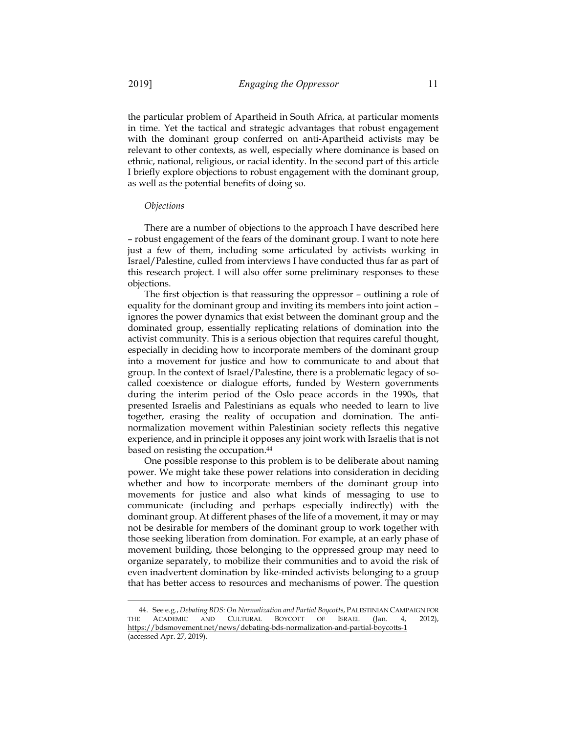the particular problem of Apartheid in South Africa, at particular moments in time. Yet the tactical and strategic advantages that robust engagement with the dominant group conferred on anti-Apartheid activists may be relevant to other contexts, as well, especially where dominance is based on ethnic, national, religious, or racial identity. In the second part of this article I briefly explore objections to robust engagement with the dominant group, as well as the potential benefits of doing so.

#### *Objections*

-

There are a number of objections to the approach I have described here – robust engagement of the fears of the dominant group. I want to note here just a few of them, including some articulated by activists working in Israel/Palestine, culled from interviews I have conducted thus far as part of this research project. I will also offer some preliminary responses to these objections.

The first objection is that reassuring the oppressor – outlining a role of equality for the dominant group and inviting its members into joint action – ignores the power dynamics that exist between the dominant group and the dominated group, essentially replicating relations of domination into the activist community. This is a serious objection that requires careful thought, especially in deciding how to incorporate members of the dominant group into a movement for justice and how to communicate to and about that group. In the context of Israel/Palestine, there is a problematic legacy of socalled coexistence or dialogue efforts, funded by Western governments during the interim period of the Oslo peace accords in the 1990s, that presented Israelis and Palestinians as equals who needed to learn to live together, erasing the reality of occupation and domination. The antinormalization movement within Palestinian society reflects this negative experience, and in principle it opposes any joint work with Israelis that is not based on resisting the occupation.44

One possible response to this problem is to be deliberate about naming power. We might take these power relations into consideration in deciding whether and how to incorporate members of the dominant group into movements for justice and also what kinds of messaging to use to communicate (including and perhaps especially indirectly) with the dominant group. At different phases of the life of a movement, it may or may not be desirable for members of the dominant group to work together with those seeking liberation from domination. For example, at an early phase of movement building, those belonging to the oppressed group may need to organize separately, to mobilize their communities and to avoid the risk of even inadvertent domination by like-minded activists belonging to a group that has better access to resources and mechanisms of power. The question

<sup>44.</sup> See e.g., *Debating BDS: On Normalization and Partial Boycotts*, PALESTINIAN CAMPAIGN FOR THE ACADEMIC AND CULTURAL BOYCOTT OF ISRAEL (Jan. 4, 2012), https://bdsmovement.net/news/debating-bds-normalization-and-partial-boycotts-1 (accessed Apr. 27, 2019).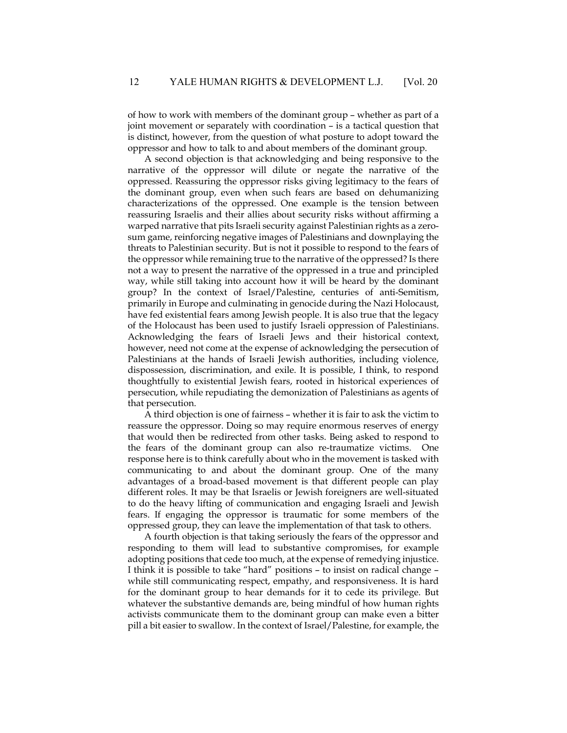of how to work with members of the dominant group – whether as part of a joint movement or separately with coordination – is a tactical question that is distinct, however, from the question of what posture to adopt toward the oppressor and how to talk to and about members of the dominant group.

A second objection is that acknowledging and being responsive to the narrative of the oppressor will dilute or negate the narrative of the oppressed. Reassuring the oppressor risks giving legitimacy to the fears of the dominant group, even when such fears are based on dehumanizing characterizations of the oppressed. One example is the tension between reassuring Israelis and their allies about security risks without affirming a warped narrative that pits Israeli security against Palestinian rights as a zerosum game, reinforcing negative images of Palestinians and downplaying the threats to Palestinian security. But is not it possible to respond to the fears of the oppressor while remaining true to the narrative of the oppressed? Is there not a way to present the narrative of the oppressed in a true and principled way, while still taking into account how it will be heard by the dominant group? In the context of Israel/Palestine, centuries of anti-Semitism, primarily in Europe and culminating in genocide during the Nazi Holocaust, have fed existential fears among Jewish people. It is also true that the legacy of the Holocaust has been used to justify Israeli oppression of Palestinians. Acknowledging the fears of Israeli Jews and their historical context, however, need not come at the expense of acknowledging the persecution of Palestinians at the hands of Israeli Jewish authorities, including violence, dispossession, discrimination, and exile. It is possible, I think, to respond thoughtfully to existential Jewish fears, rooted in historical experiences of persecution, while repudiating the demonization of Palestinians as agents of that persecution.

A third objection is one of fairness – whether it is fair to ask the victim to reassure the oppressor. Doing so may require enormous reserves of energy that would then be redirected from other tasks. Being asked to respond to the fears of the dominant group can also re-traumatize victims. One response here is to think carefully about who in the movement is tasked with communicating to and about the dominant group. One of the many advantages of a broad-based movement is that different people can play different roles. It may be that Israelis or Jewish foreigners are well-situated to do the heavy lifting of communication and engaging Israeli and Jewish fears. If engaging the oppressor is traumatic for some members of the oppressed group, they can leave the implementation of that task to others.

A fourth objection is that taking seriously the fears of the oppressor and responding to them will lead to substantive compromises, for example adopting positions that cede too much, at the expense of remedying injustice. I think it is possible to take "hard" positions – to insist on radical change – while still communicating respect, empathy, and responsiveness. It is hard for the dominant group to hear demands for it to cede its privilege. But whatever the substantive demands are, being mindful of how human rights activists communicate them to the dominant group can make even a bitter pill a bit easier to swallow. In the context of Israel/Palestine, for example, the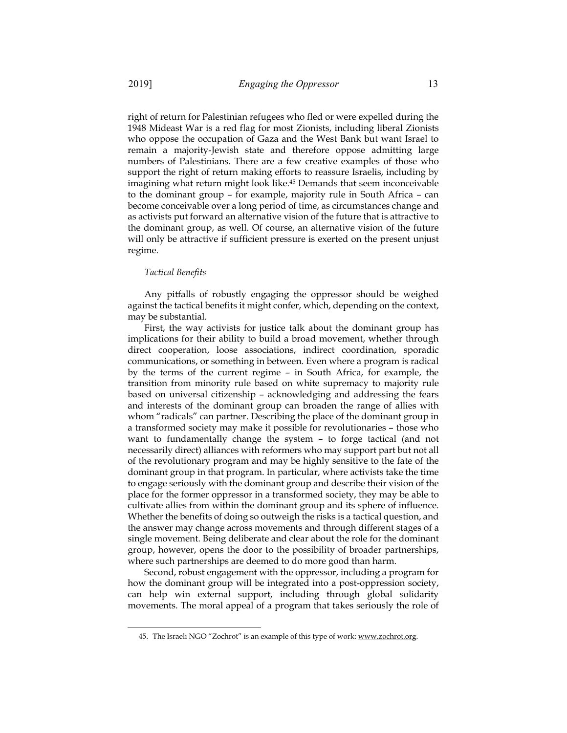right of return for Palestinian refugees who fled or were expelled during the 1948 Mideast War is a red flag for most Zionists, including liberal Zionists who oppose the occupation of Gaza and the West Bank but want Israel to remain a majority-Jewish state and therefore oppose admitting large numbers of Palestinians. There are a few creative examples of those who support the right of return making efforts to reassure Israelis, including by imagining what return might look like.45 Demands that seem inconceivable to the dominant group – for example, majority rule in South Africa – can become conceivable over a long period of time, as circumstances change and as activists put forward an alternative vision of the future that is attractive to the dominant group, as well. Of course, an alternative vision of the future will only be attractive if sufficient pressure is exerted on the present unjust regime.

#### *Tactical Benefits*

 $\overline{\phantom{a}}$ 

Any pitfalls of robustly engaging the oppressor should be weighed against the tactical benefits it might confer, which, depending on the context, may be substantial.

First, the way activists for justice talk about the dominant group has implications for their ability to build a broad movement, whether through direct cooperation, loose associations, indirect coordination, sporadic communications, or something in between. Even where a program is radical by the terms of the current regime – in South Africa, for example, the transition from minority rule based on white supremacy to majority rule based on universal citizenship – acknowledging and addressing the fears and interests of the dominant group can broaden the range of allies with whom "radicals" can partner. Describing the place of the dominant group in a transformed society may make it possible for revolutionaries – those who want to fundamentally change the system – to forge tactical (and not necessarily direct) alliances with reformers who may support part but not all of the revolutionary program and may be highly sensitive to the fate of the dominant group in that program. In particular, where activists take the time to engage seriously with the dominant group and describe their vision of the place for the former oppressor in a transformed society, they may be able to cultivate allies from within the dominant group and its sphere of influence. Whether the benefits of doing so outweigh the risks is a tactical question, and the answer may change across movements and through different stages of a single movement. Being deliberate and clear about the role for the dominant group, however, opens the door to the possibility of broader partnerships, where such partnerships are deemed to do more good than harm.

Second, robust engagement with the oppressor, including a program for how the dominant group will be integrated into a post-oppression society, can help win external support, including through global solidarity movements. The moral appeal of a program that takes seriously the role of

<sup>45.</sup> The Israeli NGO "Zochrot" is an example of this type of work: www.zochrot.org.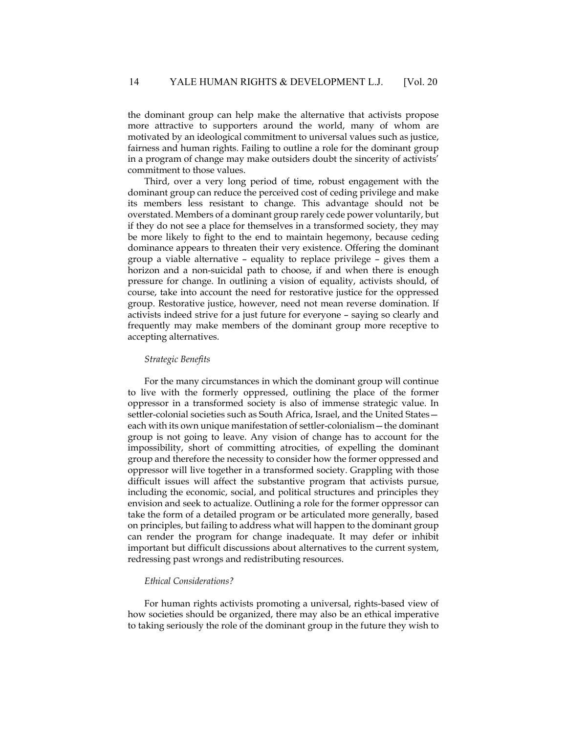the dominant group can help make the alternative that activists propose more attractive to supporters around the world, many of whom are motivated by an ideological commitment to universal values such as justice, fairness and human rights. Failing to outline a role for the dominant group in a program of change may make outsiders doubt the sincerity of activists' commitment to those values.

Third, over a very long period of time, robust engagement with the dominant group can reduce the perceived cost of ceding privilege and make its members less resistant to change. This advantage should not be overstated. Members of a dominant group rarely cede power voluntarily, but if they do not see a place for themselves in a transformed society, they may be more likely to fight to the end to maintain hegemony, because ceding dominance appears to threaten their very existence. Offering the dominant group a viable alternative – equality to replace privilege – gives them a horizon and a non-suicidal path to choose, if and when there is enough pressure for change. In outlining a vision of equality, activists should, of course, take into account the need for restorative justice for the oppressed group. Restorative justice, however, need not mean reverse domination. If activists indeed strive for a just future for everyone – saying so clearly and frequently may make members of the dominant group more receptive to accepting alternatives.

#### *Strategic Benefits*

For the many circumstances in which the dominant group will continue to live with the formerly oppressed, outlining the place of the former oppressor in a transformed society is also of immense strategic value. In settler-colonial societies such as South Africa, Israel, and the United States each with its own unique manifestation of settler-colonialism—the dominant group is not going to leave. Any vision of change has to account for the impossibility, short of committing atrocities, of expelling the dominant group and therefore the necessity to consider how the former oppressed and oppressor will live together in a transformed society. Grappling with those difficult issues will affect the substantive program that activists pursue, including the economic, social, and political structures and principles they envision and seek to actualize. Outlining a role for the former oppressor can take the form of a detailed program or be articulated more generally, based on principles, but failing to address what will happen to the dominant group can render the program for change inadequate. It may defer or inhibit important but difficult discussions about alternatives to the current system, redressing past wrongs and redistributing resources.

#### *Ethical Considerations?*

For human rights activists promoting a universal, rights-based view of how societies should be organized, there may also be an ethical imperative to taking seriously the role of the dominant group in the future they wish to